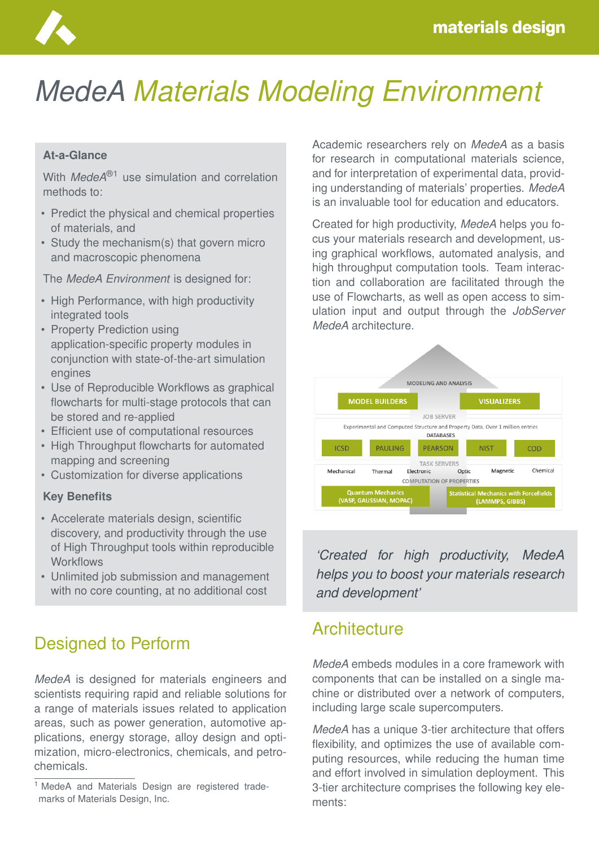

# *MedeA Materials Modeling Environment*

#### **At-a-Glance**

With *MedeA*®1 use simulation and correlation methods to:

- Predict the physical and chemical properties of materials, and
- Study the mechanism(s) that govern micro and macroscopic phenomena

The *MedeA Environment* is designed for:

- High Performance, with high productivity integrated tools
- Property Prediction using application-specific property modules in conjunction with state-of-the-art simulation engines
- Use of Reproducible Workflows as graphical flowcharts for multi-stage protocols that can be stored and re-applied
- Efficient use of computational resources
- High Throughput flowcharts for automated mapping and screening
- Customization for diverse applications

#### **Key Benefits**

- Accelerate materials design, scientific discovery, and productivity through the use of High Throughput tools within reproducible **Workflows**
- Unlimited job submission and management with no core counting, at no additional cost

## Designed to Perform

*MedeA* is designed for materials engineers and scientists requiring rapid and reliable solutions for a range of materials issues related to application areas, such as power generation, automotive applications, energy storage, alloy design and optimization, micro-electronics, chemicals, and petrochemicals.

Academic researchers rely on *MedeA* as a basis for research in computational materials science, and for interpretation of experimental data, providing understanding of materials' properties. *MedeA* is an invaluable tool for education and educators.

Created for high productivity, *MedeA* helps you focus your materials research and development, using graphical workflows, automated analysis, and high throughput computation tools. Team interaction and collaboration are facilitated through the use of Flowcharts, as well as open access to simulation input and output through the *JobServer MedeA* architecture.



*'Created for high productivity, MedeA helps you to boost your materials research and development'*

#### **Architecture**

*MedeA* embeds modules in a core framework with components that can be installed on a single machine or distributed over a network of computers, including large scale supercomputers.

*MedeA* has a unique 3-tier architecture that offers flexibility, and optimizes the use of available computing resources, while reducing the human time and effort involved in simulation deployment. This 3-tier architecture comprises the following key elements:

<sup>&</sup>lt;sup>1</sup> MedeA and Materials Design are registered trademarks of Materials Design, Inc.